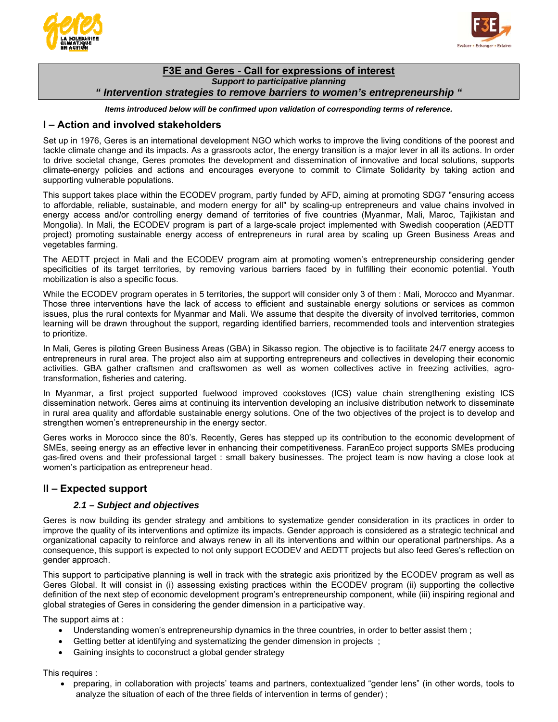



## **F3E and Geres - Call for expressions of interest**  *Support to participative planning " Intervention strategies to remove barriers to women's entrepreneurship "*

*Items introduced below will be confirmed upon validation of corresponding terms of reference.* 

## **I – Action and involved stakeholders**

Set up in 1976, Geres is an international development NGO which works to improve the living conditions of the poorest and tackle climate change and its impacts. As a grassroots actor, the energy transition is a major lever in all its actions. In order to drive societal change, Geres promotes the development and dissemination of innovative and local solutions, supports climate-energy policies and actions and encourages everyone to commit to Climate Solidarity by taking action and supporting vulnerable populations.

This support takes place within the ECODEV program, partly funded by AFD, aiming at promoting SDG7 "ensuring access to affordable, reliable, sustainable, and modern energy for all" by scaling-up entrepreneurs and value chains involved in energy access and/or controlling energy demand of territories of five countries (Myanmar, Mali, Maroc, Tajikistan and Mongolia). In Mali, the ECODEV program is part of a large-scale project implemented with Swedish cooperation (AEDTT project) promoting sustainable energy access of entrepreneurs in rural area by scaling up Green Business Areas and vegetables farming.

The AEDTT project in Mali and the ECODEV program aim at promoting women's entrepreneurship considering gender specificities of its target territories, by removing various barriers faced by in fulfilling their economic potential. Youth mobilization is also a specific focus.

While the ECODEV program operates in 5 territories, the support will consider only 3 of them : Mali, Morocco and Myanmar. Those three interventions have the lack of access to efficient and sustainable energy solutions or services as common issues, plus the rural contexts for Myanmar and Mali. We assume that despite the diversity of involved territories, common learning will be drawn throughout the support, regarding identified barriers, recommended tools and intervention strategies to prioritize.

In Mali, Geres is piloting Green Business Areas (GBA) in Sikasso region. The objective is to facilitate 24/7 energy access to entrepreneurs in rural area. The project also aim at supporting entrepreneurs and collectives in developing their economic activities. GBA gather craftsmen and craftswomen as well as women collectives active in freezing activities, agrotransformation, fisheries and catering.

In Myanmar, a first project supported fuelwood improved cookstoves (ICS) value chain strengthening existing ICS dissemination network. Geres aims at continuing its intervention developing an inclusive distribution network to disseminate in rural area quality and affordable sustainable energy solutions. One of the two objectives of the project is to develop and strengthen women's entrepreneurship in the energy sector.

Geres works in Morocco since the 80's. Recently, Geres has stepped up its contribution to the economic development of SMEs, seeing energy as an effective lever in enhancing their competitiveness. FaranEco project supports SMEs producing gas-fired ovens and their professional target : small bakery businesses. The project team is now having a close look at women's participation as entrepreneur head.

# **II – Expected support**

### *2.1 – Subject and objectives*

Geres is now building its gender strategy and ambitions to systematize gender consideration in its practices in order to improve the quality of its interventions and optimize its impacts. Gender approach is considered as a strategic technical and organizational capacity to reinforce and always renew in all its interventions and within our operational partnerships. As a consequence, this support is expected to not only support ECODEV and AEDTT projects but also feed Geres's reflection on gender approach.

This support to participative planning is well in track with the strategic axis prioritized by the ECODEV program as well as Geres Global. It will consist in (i) assessing existing practices within the ECODEV program (ii) supporting the collective definition of the next step of economic development program's entrepreneurship component, while (iii) inspiring regional and global strategies of Geres in considering the gender dimension in a participative way.

The support aims at :

- Understanding women's entrepreneurship dynamics in the three countries, in order to better assist them ;
- Getting better at identifying and systematizing the gender dimension in projects ;
- Gaining insights to coconstruct a global gender strategy

This requires :

 preparing, in collaboration with projects' teams and partners, contextualized "gender lens" (in other words, tools to analyze the situation of each of the three fields of intervention in terms of gender) ;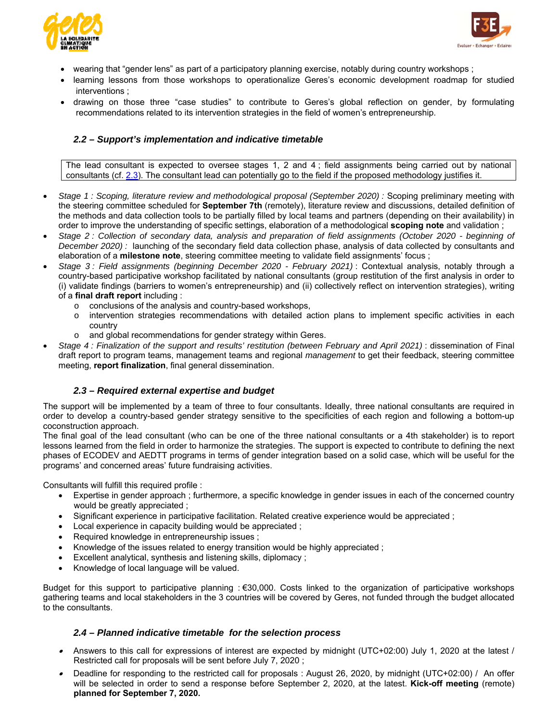



- wearing that "gender lens" as part of a participatory planning exercise, notably during country workshops ;
- learning lessons from those workshops to operationalize Geres's economic development roadmap for studied interventions ;
- drawing on those three "case studies" to contribute to Geres's global reflection on gender, by formulating recommendations related to its intervention strategies in the field of women's entrepreneurship.

### *2.2 – Support's implementation and indicative timetable*

The lead consultant is expected to oversee stages 1, 2 and 4 ; field assignments being carried out by national consultants (cf. 2.3). The consultant lead can potentially go to the field if the proposed methodology justifies it.

- *Stage 1 : Scoping, literature review and methodological proposal (September 2020) :* Scoping preliminary meeting with the steering committee scheduled for **September 7th** (remotely), literature review and discussions, detailed definition of the methods and data collection tools to be partially filled by local teams and partners (depending on their availability) in order to improve the understanding of specific settings, elaboration of a methodological **scoping note** and validation ;
- *Stage 2 : Collection of secondary data, analysis and preparation of field assignments (October 2020 beginning of December 2020) :* launching of the secondary field data collection phase, analysis of data collected by consultants and elaboration of a **milestone note**, steering committee meeting to validate field assignments' focus ;
- *Stage 3 : Field assignments (beginning December 2020 February 2021)* : Contextual analysis, notably through a country-based participative workshop facilitated by national consultants (group restitution of the first analysis in order to (i) validate findings (barriers to women's entrepreneurship) and (ii) collectively reflect on intervention strategies), writing of a **final draft report** including :
	- o conclusions of the analysis and country-based workshops,
	- o intervention strategies recommendations with detailed action plans to implement specific activities in each country
	- o and global recommendations for gender strategy within Geres.
- *Stage 4 : Finalization of the support and results' restitution (between February and April 2021)* : dissemination of Final draft report to program teams, management teams and regional *management* to get their feedback, steering committee meeting, **report finalization**, final general dissemination.

#### *2.3 – Required external expertise and budget*

The support will be implemented by a team of three to four consultants. Ideally, three national consultants are required in order to develop a country-based gender strategy sensitive to the specificities of each region and following a bottom-up coconstruction approach.

The final goal of the lead consultant (who can be one of the three national consultants or a 4th stakeholder) is to report lessons learned from the field in order to harmonize the strategies. The support is expected to contribute to defining the next phases of ECODEV and AEDTT programs in terms of gender integration based on a solid case, which will be useful for the programs' and concerned areas' future fundraising activities.

Consultants will fulfill this required profile :

- Expertise in gender approach ; furthermore, a specific knowledge in gender issues in each of the concerned country would be greatly appreciated ;
- Significant experience in participative facilitation. Related creative experience would be appreciated ;
- Local experience in capacity building would be appreciated ;
- Required knowledge in entrepreneurship issues ;
- Knowledge of the issues related to energy transition would be highly appreciated ;
- Excellent analytical, synthesis and listening skills, diplomacy ;
- Knowledge of local language will be valued.

Budget for this support to participative planning : €30,000. Costs linked to the organization of participative workshops gathering teams and local stakeholders in the 3 countries will be covered by Geres, not funded through the budget allocated to the consultants.

#### *2.4 – Planned indicative timetable for the selection process*

- Answers to this call for expressions of interest are expected by midnight (UTC+02:00) July 1, 2020 at the latest / Restricted call for proposals will be sent before July 7, 2020 ;
- . Deadline for responding to the restricted call for proposals : August 26, 2020, by midnight (UTC+02:00) / An offer will be selected in order to send a response before September 2, 2020, at the latest. **Kick-off meeting** (remote) **planned for September 7, 2020.**